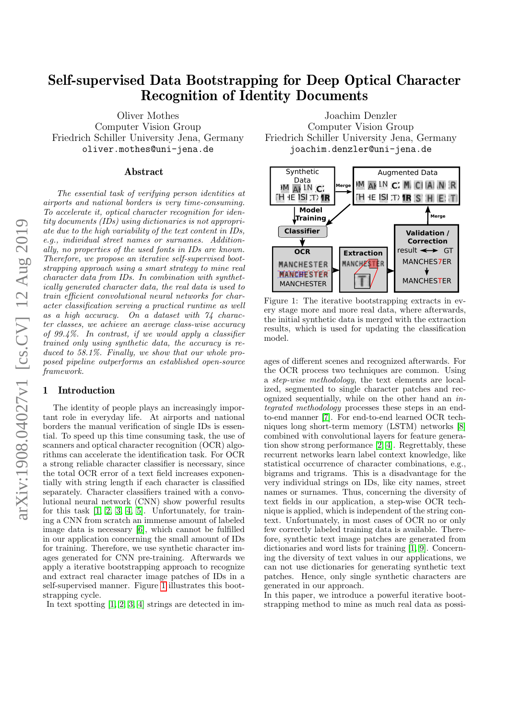# Self-supervised Data Bootstrapping for Deep Optical Character Recognition of Identity Documents

Oliver Mothes Computer Vision Group Friedrich Schiller University Jena, Germany oliver.mothes@uni-jena.de

### Abstract

The essential task of verifying person identities at airports and national borders is very time-consuming. To accelerate it, optical character recognition for identity documents (IDs) using dictionaries is not appropriate due to the high variability of the text content in IDs, e.g., individual street names or surnames. Additionally, no properties of the used fonts in IDs are known. Therefore, we propose an iterative self-supervised bootstrapping approach using a smart strategy to mine real character data from IDs. In combination with synthetically generated character data, the real data is used to train efficient convolutional neural networks for character classification serving a practical runtime as well as a high accuracy. On a dataset with 74 character classes, we achieve an average class-wise accuracy of 99.4%. In contrast, if we would apply a classifier trained only using synthetic data, the accuracy is reduced to 58.1%. Finally, we show that our whole proposed pipeline outperforms an established open-source framework.

## 1 Introduction

The identity of people plays an increasingly important role in everyday life. At airports and national borders the manual verification of single IDs is essential. To speed up this time consuming task, the use of scanners and optical character recognition (OCR) algorithms can accelerate the identification task. For OCR a strong reliable character classifier is necessary, since the total OCR error of a text field increases exponentially with string length if each character is classified separately. Character classifiers trained with a convolutional neural network (CNN) show powerful results for this task [\[1,](#page-3-0) [2,](#page-3-1) [3,](#page-3-2) [4,](#page-3-3) [5\]](#page-3-4). Unfortunately, for training a CNN from scratch an immense amount of labeled image data is necessary [\[6\]](#page-3-5), which cannot be fulfilled in our application concerning the small amount of IDs for training. Therefore, we use synthetic character images generated for CNN pre-training. Afterwards we apply a iterative bootstrapping approach to recognize and extract real character image patches of IDs in a self-supervised manner. Figure [1](#page-0-0) illustrates this bootstrapping cycle.

In text spotting [\[1,](#page-3-0) [2,](#page-3-1) [3,](#page-3-2) [4\]](#page-3-3) strings are detected in im-

Joachim Denzler Computer Vision Group Friedrich Schiller University Jena, Germany joachim.denzler@uni-jena.de

<span id="page-0-0"></span>

Figure 1: The iterative bootstrapping extracts in every stage more and more real data, where afterwards, the initial synthetic data is merged with the extraction results, which is used for updating the classification model.

ages of different scenes and recognized afterwards. For the OCR process two techniques are common. Using a step-wise methodology, the text elements are localized, segmented to single character patches and recognized sequentially, while on the other hand an integrated methodology processes these steps in an endto-end manner [\[7\]](#page-3-6). For end-to-end learned OCR techniques long short-term memory (LSTM) networks [\[8\]](#page-3-7) combined with convolutional layers for feature generation show strong performance [\[2,](#page-3-1) [4\]](#page-3-3). Regrettably, these recurrent networks learn label context knowledge, like statistical occurrence of character combinations, e.g., bigrams and trigrams. This is a disadvantage for the very individual strings on IDs, like city names, street names or surnames. Thus, concerning the diversity of text fields in our application, a step-wise OCR technique is applied, which is independent of the string context. Unfortunately, in most cases of OCR no or only few correctly labeled training data is available. Therefore, synthetic text image patches are generated from dictionaries and word lists for training [\[1,](#page-3-0) [9\]](#page-3-8). Concerning the diversity of text values in our applications, we can not use dictionaries for generating synthetic text patches. Hence, only single synthetic characters are generated in our approach.

In this paper, we introduce a powerful iterative bootstrapping method to mine as much real data as possi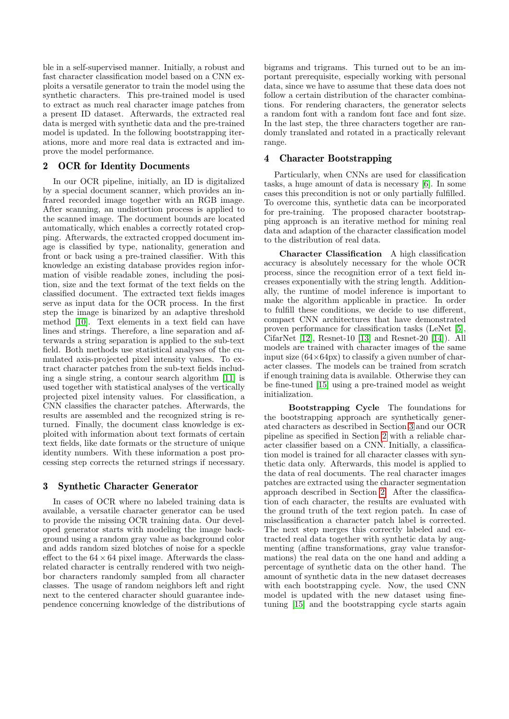ble in a self-supervised manner. Initially, a robust and fast character classification model based on a CNN exploits a versatile generator to train the model using the synthetic characters. This pre-trained model is used to extract as much real character image patches from a present ID dataset. Afterwards, the extracted real data is merged with synthetic data and the pre-trained model is updated. In the following bootstrapping iterations, more and more real data is extracted and improve the model performance.

## <span id="page-1-1"></span>2 OCR for Identity Documents

In our OCR pipeline, initially, an ID is digitalized by a special document scanner, which provides an infrared recorded image together with an RGB image. After scanning, an undistortion process is applied to the scanned image. The document bounds are located automatically, which enables a correctly rotated cropping. Afterwards, the extracted cropped document image is classified by type, nationality, generation and front or back using a pre-trained classifier. With this knowledge an existing database provides region information of visible readable zones, including the position, size and the text format of the text fields on the classified document. The extracted text fields images serve as input data for the OCR process. In the first step the image is binarized by an adaptive threshold method [\[10\]](#page-3-9). Text elements in a text field can have lines and strings. Therefore, a line separation and afterwards a string separation is applied to the sub-text field. Both methods use statistical analyses of the cumulated axis-projected pixel intensity values. To extract character patches from the sub-text fields including a single string, a contour search algorithm [\[11\]](#page-3-10) is used together with statistical analyses of the vertically projected pixel intensity values. For classification, a CNN classifies the character patches. Afterwards, the results are assembled and the recognized string is returned. Finally, the document class knowledge is exploited with information about text formats of certain text fields, like date formats or the structure of unique identity numbers. With these information a post processing step corrects the returned strings if necessary.

## <span id="page-1-0"></span>3 Synthetic Character Generator

In cases of OCR where no labeled training data is available, a versatile character generator can be used to provide the missing OCR training data. Our developed generator starts with modeling the image background using a random gray value as background color and adds random sized blotches of noise for a speckle effect to the  $64 \times 64$  pixel image. Afterwards the classrelated character is centrally rendered with two neighbor characters randomly sampled from all character classes. The usage of random neighbors left and right next to the centered character should guarantee independence concerning knowledge of the distributions of bigrams and trigrams. This turned out to be an important prerequisite, especially working with personal data, since we have to assume that these data does not follow a certain distribution of the character combinations. For rendering characters, the generator selects a random font with a random font face and font size. In the last step, the three characters together are randomly translated and rotated in a practically relevant range.

## <span id="page-1-2"></span>4 Character Bootstrapping

Particularly, when CNNs are used for classification tasks, a huge amount of data is necessary [\[6\]](#page-3-5). In some cases this precondition is not or only partially fulfilled. To overcome this, synthetic data can be incorporated for pre-training. The proposed character bootstrapping approach is an iterative method for mining real data and adaption of the character classification model to the distribution of real data.

Character Classification A high classification accuracy is absolutely necessary for the whole OCR process, since the recognition error of a text field increases exponentially with the string length. Additionally, the runtime of model inference is important to make the algorithm applicable in practice. In order to fulfill these conditions, we decide to use different, compact CNN architectures that have demonstrated proven performance for classification tasks (LeNet [\[5\]](#page-3-4), CifarNet [\[12\]](#page-3-11), Resnet-10 [\[13\]](#page-3-12) and Resnet-20 [\[14\]](#page-3-13)). All models are trained with character images of the same input size  $(64\times64px)$  to classify a given number of character classes. The models can be trained from scratch if enough training data is available. Otherwise they can be fine-tuned [\[15\]](#page-3-14) using a pre-trained model as weight initialization.

Bootstrapping Cycle The foundations for the bootstrapping approach are synthetically generated characters as described in Section [3](#page-1-0) and our OCR pipeline as specified in Section [2](#page-1-1) with a reliable character classifier based on a CNN. Initially, a classification model is trained for all character classes with synthetic data only. Afterwards, this model is applied to the data of real documents. The real character images patches are extracted using the character segmentation approach described in Section [2.](#page-1-1) After the classification of each character, the results are evaluated with the ground truth of the text region patch. In case of misclassification a character patch label is corrected. The next step merges this correctly labeled and extracted real data together with synthetic data by augmenting (affine transformations, gray value transformations) the real data on the one hand and adding a percentage of synthetic data on the other hand. The amount of synthetic data in the new dataset decreases with each bootstrapping cycle. Now, the used CNN model is updated with the new dataset using finetuning [\[15\]](#page-3-14) and the bootstrapping cycle starts again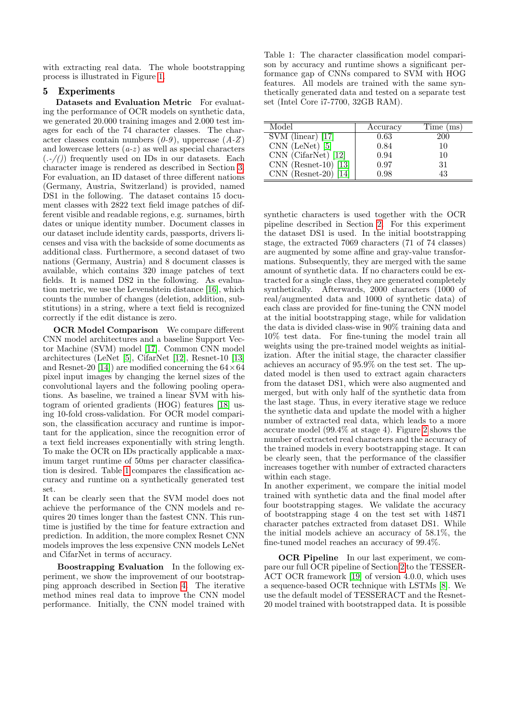with extracting real data. The whole bootstrapping process is illustrated in Figure [1.](#page-0-0)

### 5 Experiments

Datasets and Evaluation Metric For evaluating the performance of OCR models on synthetic data, we generated 20.000 training images and 2.000 test images for each of the 74 character classes. The character classes contain numbers  $(0-9)$ , uppercase  $(A-Z)$ and lowercase letters  $(a-z)$  as well as special characters  $(.-())$  frequently used on IDs in our datasets. Each character image is rendered as described in Section [3.](#page-1-0) For evaluation, an ID dataset of three different nations (Germany, Austria, Switzerland) is provided, named DS1 in the following. The dataset contains 15 document classes with 2822 text field image patches of different visible and readable regions, e.g. surnames, birth dates or unique identity number. Document classes in our dataset include identity cards, passports, drivers licenses and visa with the backside of some documents as additional class. Furthermore, a second dataset of two nations (Germany, Austria) and 8 document classes is available, which contains 320 image patches of text fields. It is named DS2 in the following. As evaluation metric, we use the Levenshtein distance [\[16\]](#page-3-15), which counts the number of changes (deletion, addition, substitutions) in a string, where a text field is recognized correctly if the edit distance is zero.

**OCR Model Comparison** We compare different CNN model architectures and a baseline Support Vector Machine (SVM) model [\[17\]](#page-3-16). Common CNN model architectures (LeNet [\[5\]](#page-3-4), CifarNet [\[12\]](#page-3-11), Resnet-10 [\[13\]](#page-3-12) and Resnet-20 [\[14\]](#page-3-13)) are modified concerning the  $64 \times 64$ pixel input images by changing the kernel sizes of the convolutional layers and the following pooling operations. As baseline, we trained a linear SVM with histogram of oriented gradients (HOG) features [\[18\]](#page-3-17) using 10-fold cross-validation. For OCR model comparison, the classification accuracy and runtime is important for the application, since the recognition error of a text field increases exponentially with string length. To make the OCR on IDs practically applicable a maximum target runtime of 50ms per character classification is desired. Table [1](#page-2-0) compares the classification accuracy and runtime on a synthetically generated test set.

It can be clearly seen that the SVM model does not achieve the performance of the CNN models and requires 20 times longer than the fastest CNN. This runtime is justified by the time for feature extraction and prediction. In addition, the more complex Resnet CNN models improves the less expensive CNN models LeNet and CifarNet in terms of accuracy.

Boostrapping Evaluation In the following experiment, we show the improvement of our bootstrapping approach described in Section [4.](#page-1-2) The iterative method mines real data to improve the CNN model performance. Initially, the CNN model trained with

<span id="page-2-0"></span>Table 1: The character classification model comparison by accuracy and runtime shows a significant performance gap of CNNs compared to SVM with HOG features. All models are trained with the same synthetically generated data and tested on a separate test set (Intel Core i7-7700, 32GB RAM).

| Model                                 | Accuracy | Time (ms)  |
|---------------------------------------|----------|------------|
| $\overline{\text{SVM (linear)}}$ [17] | 0.63     | <b>200</b> |
| $CNN$ (LeNet) [5]                     | 0.84     | 10         |
| $CNN$ (CifarNet) [12]                 | 0.94     | 10         |
| $CNN$ (Resnet-10) [13]                | 0.97     | 31         |
| $CNN$ (Resnet-20)<br>114I             | 0.98     | 43         |

synthetic characters is used together with the OCR pipeline described in Section [2.](#page-1-1) For this experiment the dataset DS1 is used. In the initial bootstrapping stage, the extracted 7069 characters (71 of 74 classes) are augmented by some affine and gray-value transformations. Subsequently, they are merged with the same amount of synthetic data. If no characters could be extracted for a single class, they are generated completely synthetically. Afterwards, 2000 characters (1000 of real/augmented data and 1000 of synthetic data) of each class are provided for fine-tuning the CNN model at the initial bootstrapping stage, while for validation the data is divided class-wise in 90% training data and 10% test data. For fine-tuning the model train all weights using the pre-trained model weights as initialization. After the initial stage, the character classifier achieves an accuracy of 95.9% on the test set. The updated model is then used to extract again characters from the dataset DS1, which were also augmented and merged, but with only half of the synthetic data from the last stage. Thus, in every iterative stage we reduce the synthetic data and update the model with a higher number of extracted real data, which leads to a more accurate model (99.4% at stage 4). Figure [2](#page-3-18) shows the number of extracted real characters and the accuracy of the trained models in every bootstrapping stage. It can be clearly seen, that the performance of the classifier increases together with number of extracted characters within each stage.

In another experiment, we compare the initial model trained with synthetic data and the final model after four bootstrapping stages. We validate the accuracy of bootstrapping stage 4 on the test set with 14871 character patches extracted from dataset DS1. While the initial models achieve an accuracy of 58.1%, the fine-tuned model reaches an accuracy of 99.4%.

OCR Pipeline In our last experiment, we compare our full OCR pipeline of Section [2](#page-1-1) to the TESSER-ACT OCR framework [\[19\]](#page-3-19) of version 4.0.0, which uses a sequence-based OCR technique with LSTMs [\[8\]](#page-3-7). We use the default model of TESSERACT and the Resnet-20 model trained with bootstrapped data. It is possible